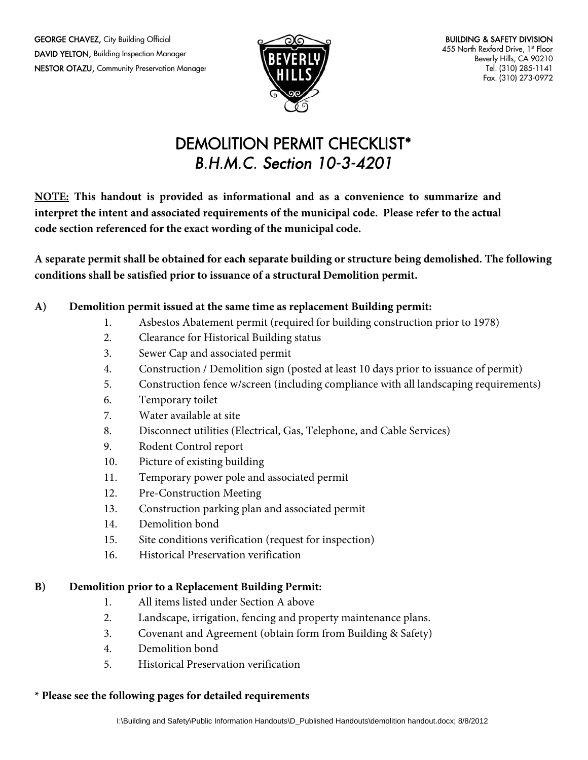**GEORGE CHAVEZ, City Building Official** DAVID YELTON, Building Inspection Manager NESTOR OTAZU, Community Preservation Manager



# DEMOLITION PERMIT CHECKLIST\* B.H.M.C. Section 10-3-4201

**NOTE: This handout is provided as informational and as a convenience to summarize and interpret the intent and associated requirements of the municipal code. Please refer to the actual code section referenced for the exact wording of the municipal code.** 

**A separate permit shall be obtained for each separate building or structure being demolished. The following conditions shall be satisfied prior to issuance of a structural Demolition permit.**

## **A) Demolition permit issued at the same time as replacement Building permit:**

- 1. Asbestos Abatement permit (required for building construction prior to 1978)
- 2. Clearance for Historical Building status
- 3. Sewer Cap and associated permit
- 4. Construction / Demolition sign (posted at least 10 days prior to issuance of permit)
- 5. Construction fence w/screen (including compliance with all landscaping requirements)
- 6. Temporary toilet
- 7. Water available at site
- 8. Disconnect utilities (Electrical, Gas, Telephone, and Cable Services)
- 9. Rodent Control report
- 10. Picture of existing building
- 11. Temporary power pole and associated permit
- 12. Pre-Construction Meeting
- 13. Construction parking plan and associated permit
- 14. Demolition bond
- 15. Site conditions verification (request for inspection)
- 16. Historical Preservation verification

### **B) Demolition prior to a Replacement Building Permit:**

- 1. All items listed under Section A above
- 2. Landscape, irrigation, fencing and property maintenance plans.
- 3. Covenant and Agreement (obtain form from Building & Safety)
- 4. Demolition bond
- 5. Historical Preservation verification

### **\* Please see the following pages for detailed requirements**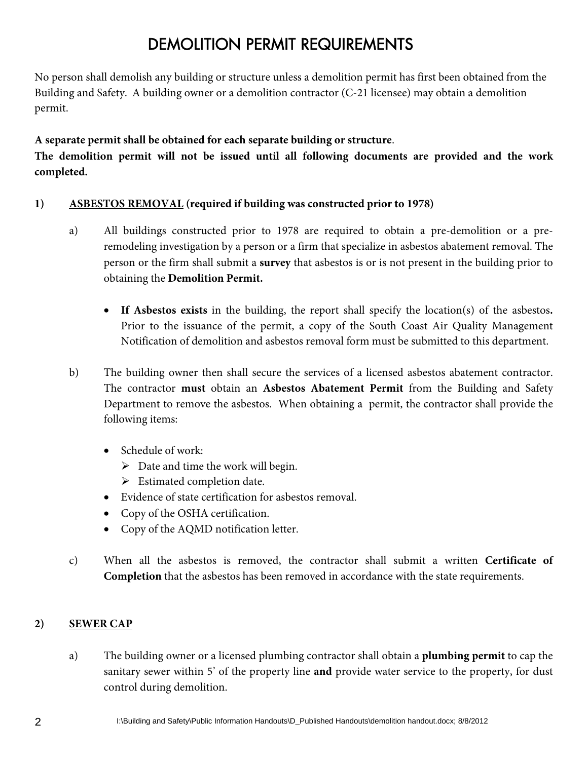# DEMOLITION PERMIT REQUIREMENTS

No person shall demolish any building or structure unless a demolition permit has first been obtained from the Building and Safety.A building owner or a demolition contractor (C-21 licensee) may obtain a demolition permit.

## **A separate permit shall be obtained for each separate building or structure**.

**The demolition permit will not be issued until all following documents are provided and the work completed.** 

## **1) ASBESTOS REMOVAL (required if building was constructed prior to 1978)**

- a) All buildings constructed prior to 1978 are required to obtain a pre-demolition or a preremodeling investigation by a person or a firm that specialize in asbestos abatement removal. The person or the firm shall submit a **survey** that asbestos is or is not present in the building prior to obtaining the **Demolition Permit.** 
	- **If Asbestos exists** in the building, the report shall specify the location(s) of the asbestos**.**  Prior to the issuance of the permit, a copy of the South Coast Air Quality Management Notification of demolition and asbestos removal form must be submitted to this department.
- b) The building owner then shall secure the services of a licensed asbestos abatement contractor. The contractor **must** obtain an **Asbestos Abatement Permit** from the Building and Safety Department to remove the asbestos. When obtaining a permit, the contractor shall provide the following items:
	- Schedule of work:
		- $\triangleright$  Date and time the work will begin.
		- $\triangleright$  Estimated completion date.
	- Evidence of state certification for asbestos removal.
	- Copy of the OSHA certification.
	- Copy of the AQMD notification letter.
- c) When all the asbestos is removed, the contractor shall submit a written **Certificate of Completion** that the asbestos has been removed in accordance with the state requirements.

## **2) SEWER CAP**

a) The building owner or a licensed plumbing contractor shall obtain a **plumbing permit** to cap the sanitary sewer within 5' of the property line **and** provide water service to the property, for dust control during demolition.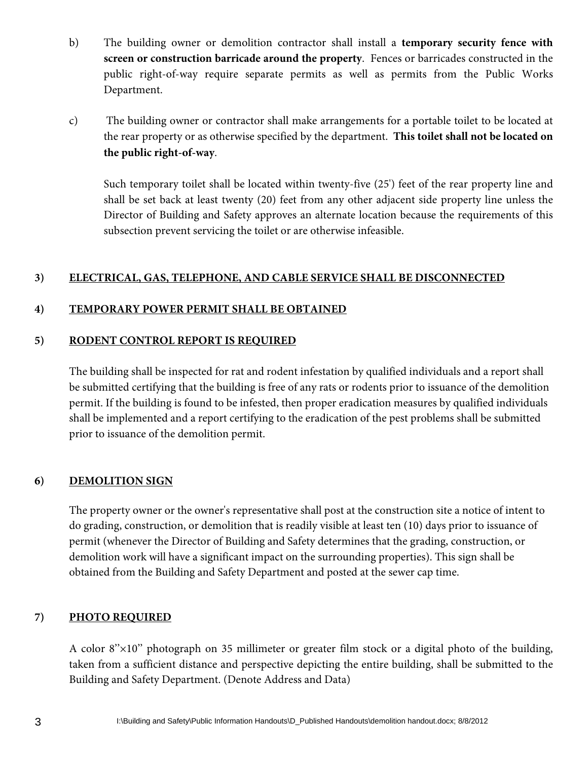- b) The building owner or demolition contractor shall install a **temporary security fence with screen or construction barricade around the property**. Fences or barricades constructed in the public right-of-way require separate permits as well as permits from the Public Works Department.
- c) The building owner or contractor shall make arrangements for a portable toilet to be located at the rear property or as otherwise specified by the department. **This toilet shall not be located on the public right-of-way**.

Such temporary toilet shall be located within twenty-five (25') feet of the rear property line and shall be set back at least twenty (20) feet from any other adjacent side property line unless the Director of Building and Safety approves an alternate location because the requirements of this subsection prevent servicing the toilet or are otherwise infeasible.

### **3) ELECTRICAL, GAS, TELEPHONE, AND CABLE SERVICE SHALL BE DISCONNECTED**

### **4) TEMPORARY POWER PERMIT SHALL BE OBTAINED**

#### **5) RODENT CONTROL REPORT IS REQUIRED**

The building shall be inspected for rat and rodent infestation by qualified individuals and a report shall be submitted certifying that the building is free of any rats or rodents prior to issuance of the demolition permit. If the building is found to be infested, then proper eradication measures by qualified individuals shall be implemented and a report certifying to the eradication of the pest problems shall be submitted prior to issuance of the demolition permit.

### **6) DEMOLITION SIGN**

The property owner or the owner's representative shall post at the construction site a notice of intent to do grading, construction, or demolition that is readily visible at least ten (10) days prior to issuance of permit (whenever the Director of Building and Safety determines that the grading, construction, or demolition work will have a significant impact on the surrounding properties). This sign shall be obtained from the Building and Safety Department and posted at the sewer cap time.

### **7) PHOTO REQUIRED**

A color 8''×10'' photograph on 35 millimeter or greater film stock or a digital photo of the building, taken from a sufficient distance and perspective depicting the entire building, shall be submitted to the Building and Safety Department. (Denote Address and Data)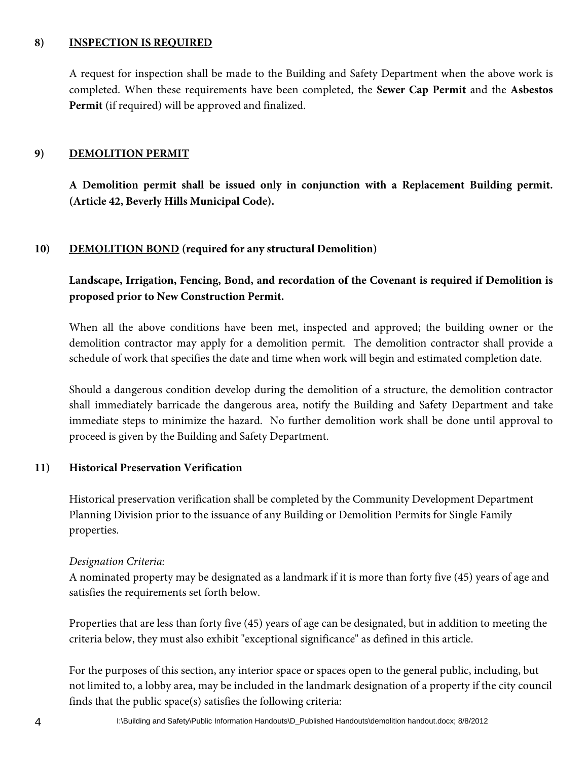### **8) INSPECTION IS REQUIRED**

A request for inspection shall be made to the Building and Safety Department when the above work is completed. When these requirements have been completed, the **Sewer Cap Permit** and the **Asbestos Permit** (if required) will be approved and finalized.

#### **9) DEMOLITION PERMIT**

**A Demolition permit shall be issued only in conjunction with a Replacement Building permit. (Article 42, Beverly Hills Municipal Code).** 

#### **10) DEMOLITION BOND (required for any structural Demolition)**

**Landscape, Irrigation, Fencing, Bond, and recordation of the Covenant is required if Demolition is proposed prior to New Construction Permit.** 

When all the above conditions have been met, inspected and approved; the building owner or the demolition contractor may apply for a demolition permit. The demolition contractor shall provide a schedule of work that specifies the date and time when work will begin and estimated completion date.

Should a dangerous condition develop during the demolition of a structure, the demolition contractor shall immediately barricade the dangerous area, notify the Building and Safety Department and take immediate steps to minimize the hazard. No further demolition work shall be done until approval to proceed is given by the Building and Safety Department.

#### **11) Historical Preservation Verification**

Historical preservation verification shall be completed by the Community Development Department Planning Division prior to the issuance of any Building or Demolition Permits for Single Family properties.

#### *Designation Criteria:*

A nominated property may be designated as a landmark if it is more than forty five (45) years of age and satisfies the requirements set forth below.

Properties that are less than forty five (45) years of age can be designated, but in addition to meeting the criteria below, they must also exhibit "exceptional significance" as defined in this article.

For the purposes of this section, any interior space or spaces open to the general public, including, but not limited to, a lobby area, may be included in the landmark designation of a property if the city council finds that the public space(s) satisfies the following criteria: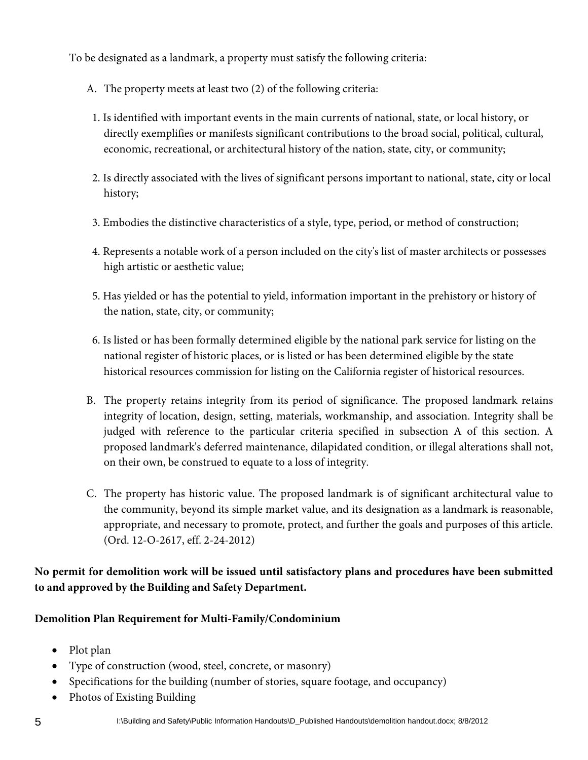To be designated as a landmark, a property must satisfy the following criteria:

- A. The property meets at least two (2) of the following criteria:
- 1. Is identified with important events in the main currents of national, state, or local history, or directly exemplifies or manifests significant contributions to the broad social, political, cultural, economic, recreational, or architectural history of the nation, state, city, or community;
- 2. Is directly associated with the lives of significant persons important to national, state, city or local history;
- 3. Embodies the distinctive characteristics of a style, type, period, or method of construction;
- 4. Represents a notable work of a person included on the city's list of master architects or possesses high artistic or aesthetic value;
- 5. Has yielded or has the potential to yield, information important in the prehistory or history of the nation, state, city, or community;
- 6. Is listed or has been formally determined eligible by the national park service for listing on the national register of historic places, or is listed or has been determined eligible by the state historical resources commission for listing on the California register of historical resources.
- B. The property retains integrity from its period of significance. The proposed landmark retains integrity of location, design, setting, materials, workmanship, and association. Integrity shall be judged with reference to the particular criteria specified in subsection A of this section. A proposed landmark's deferred maintenance, dilapidated condition, or illegal alterations shall not, on their own, be construed to equate to a loss of integrity.
- C. The property has historic value. The proposed landmark is of significant architectural value to the community, beyond its simple market value, and its designation as a landmark is reasonable, appropriate, and necessary to promote, protect, and further the goals and purposes of this article. (Ord. 12-O-2617, eff. 2-24-2012)

**No permit for demolition work will be issued until satisfactory plans and procedures have been submitted to and approved by the Building and Safety Department.** 

**Demolition Plan Requirement for Multi-Family/Condominium**

- Plot plan
- Type of construction (wood, steel, concrete, or masonry)
- Specifications for the building (number of stories, square footage, and occupancy)
- Photos of Existing Building